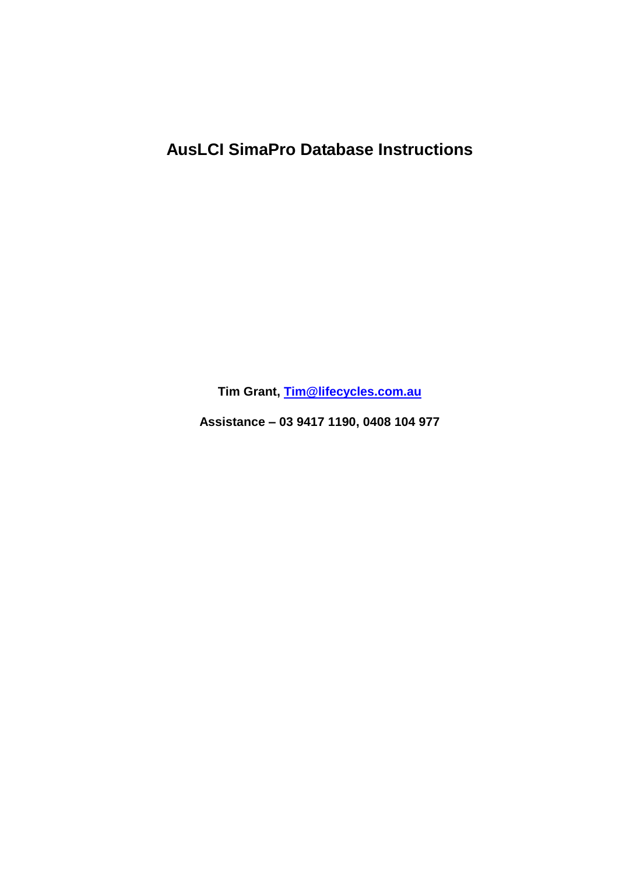## **AusLCI SimaPro Database Instructions**

Tim Grant, Tim@lifecycles.com.au

Assistance - 03 9417 1190, 0408 104 977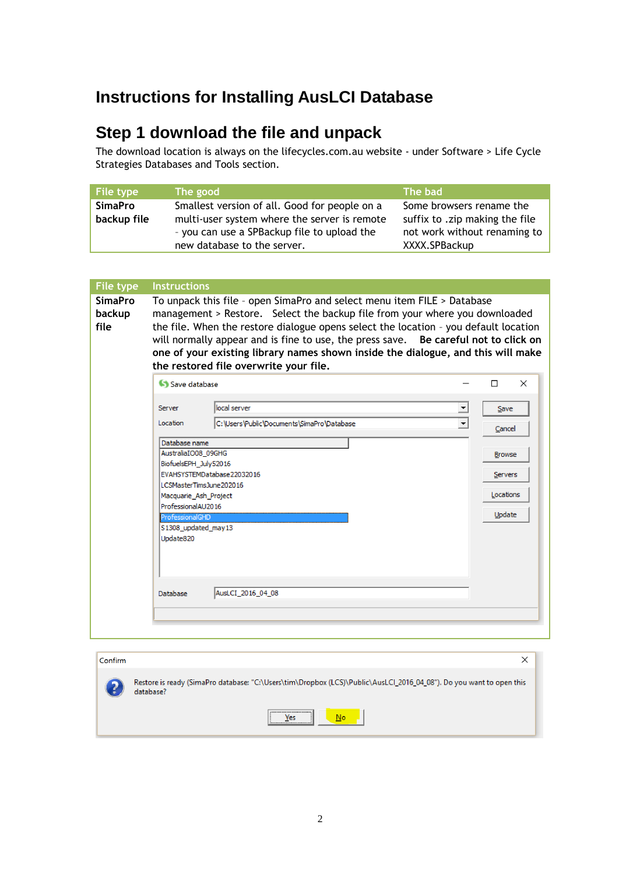## **Instructions for Installing AusLCI Database**

## **Step 1 download the file and unpack**

The download location is always on the lifecycles.com.au website - under Software > Life Cycle Strategies Databases and Tools section.

| File type      | The good                                      | The bad                        |
|----------------|-----------------------------------------------|--------------------------------|
| <b>SimaPro</b> | Smallest version of all. Good for people on a | Some browsers rename the       |
| backup file    | multi-user system where the server is remote  | suffix to .zip making the file |
|                | - you can use a SPBackup file to upload the   | not work without renaming to   |
|                | new database to the server.                   | XXXX.SPBackup                  |

| <b>File type</b><br><b>SimaPro</b><br>backup<br>file | <b>Instructions</b><br>To unpack this file - open SimaPro and select menu item FILE > Database<br>management > Restore. Select the backup file from your where you downloaded<br>the file. When the restore dialogue opens select the location - you default location<br>will normally appear and is fine to use, the press save. Be careful not to click on<br>one of your existing library names shown inside the dialogue, and this will make<br>the restored file overwrite your file. |                    |  |  |  |
|------------------------------------------------------|--------------------------------------------------------------------------------------------------------------------------------------------------------------------------------------------------------------------------------------------------------------------------------------------------------------------------------------------------------------------------------------------------------------------------------------------------------------------------------------------|--------------------|--|--|--|
|                                                      | Save database                                                                                                                                                                                                                                                                                                                                                                                                                                                                              | $\times$<br>$\Box$ |  |  |  |
|                                                      | local server<br>Server<br>$\overline{\phantom{a}}$<br>C:\Users\Public\Documents\SimaPro\Database<br>$\blacktriangledown$<br>Location                                                                                                                                                                                                                                                                                                                                                       | Save<br>Cancel     |  |  |  |
|                                                      | Database name<br>AustraliaIO08_09GHG                                                                                                                                                                                                                                                                                                                                                                                                                                                       | <b>Browse</b>      |  |  |  |
|                                                      | BiofuelsEPH July52016<br>EVAHSYSTEMDatabase22032016<br>Servers<br>LCSMasterTimsJune202016<br>Locations<br>Macquarie_Ash_Project                                                                                                                                                                                                                                                                                                                                                            |                    |  |  |  |
|                                                      |                                                                                                                                                                                                                                                                                                                                                                                                                                                                                            |                    |  |  |  |
|                                                      | ProfessionalAU2016                                                                                                                                                                                                                                                                                                                                                                                                                                                                         |                    |  |  |  |
|                                                      | ProfessionalGHD<br>S1308_updated_may13<br>Update820                                                                                                                                                                                                                                                                                                                                                                                                                                        | Update             |  |  |  |
|                                                      | AusLCI_2016_04_08<br>Database                                                                                                                                                                                                                                                                                                                                                                                                                                                              |                    |  |  |  |
|                                                      |                                                                                                                                                                                                                                                                                                                                                                                                                                                                                            |                    |  |  |  |